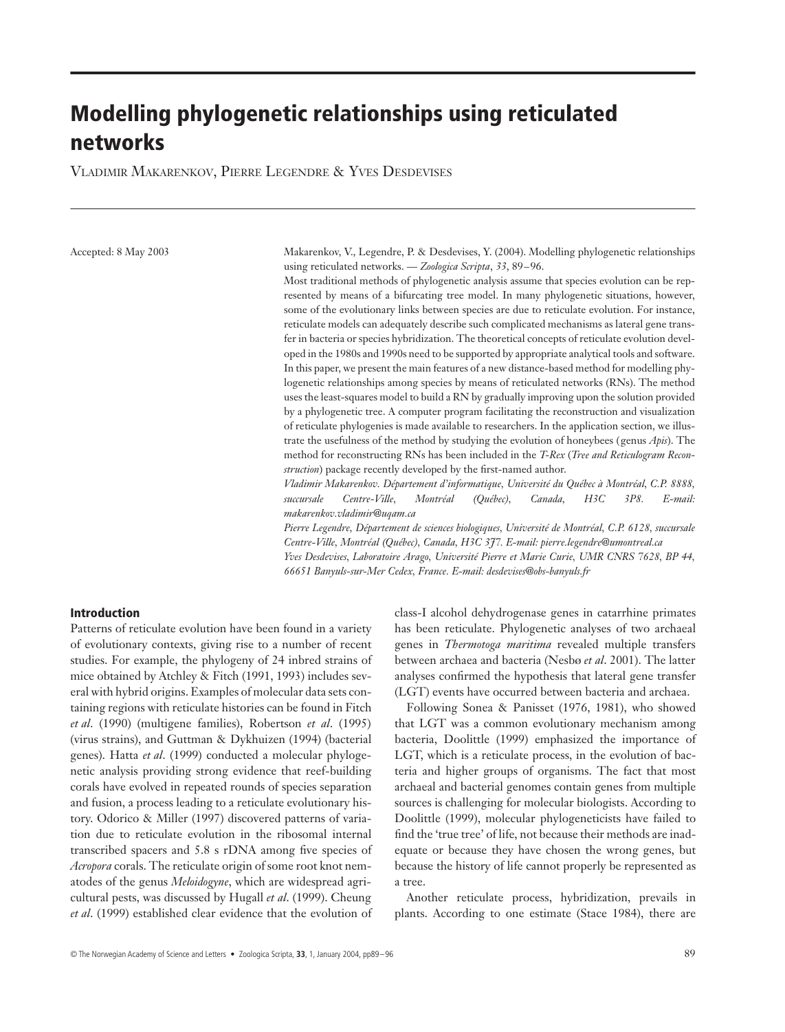# **Modelling phylogenetic relationships using reticulated networks**

VLADIMIR MAKARENKOV, PIERRE LEGENDRE & YVES DESDEVISES

Accepted: 8 May 2003

Makarenkov, V., Legendre, P. & Desdevises, Y. (2004). Modelling phylogenetic relationships using reticulated networks. — *Zoologica Scripta*, *33*, 89–96.

Most traditional methods of phylogenetic analysis assume that species evolution can be represented by means of a bifurcating tree model. In many phylogenetic situations, however, some of the evolutionary links between species are due to reticulate evolution. For instance, reticulate models can adequately describe such complicated mechanisms as lateral gene transfer in bacteria or species hybridization. The theoretical concepts of reticulate evolution developed in the 1980s and 1990s need to be supported by appropriate analytical tools and software. In this paper, we present the main features of a new distance-based method for modelling phylogenetic relationships among species by means of reticulated networks (RNs). The method uses the least-squares model to build a RN by gradually improving upon the solution provided by a phylogenetic tree. A computer program facilitating the reconstruction and visualization of reticulate phylogenies is made available to researchers. In the application section, we illustrate the usefulness of the method by studying the evolution of honeybees (genus *Apis*). The method for reconstructing RNs has been included in the *T-Rex* (*Tree and Reticulogram Reconstruction*) package recently developed by the first-named author.

*Vladimir Makarenkov. Département d'informatique, Université du Québec à Montréal, C.P. 8888, succursale Centre-Ville, Montréal (Québec), Canada, H3C 3P8. E-mail: makarenkov.vladimir@uqam.ca*

*Pierre Legendre, Département de sciences biologiques, Université de Montréal, C.P. 6128, succursale Centre-Ville, Montréal (Québec), Canada, H3C 3J7. E-mail: pierre.legendre@umontreal.ca Yves Desdevises, Laboratoire Arago, Université Pierre et Marie Curie, UMR CNRS 7628, BP 44, 66651 Banyuls-sur-Mer Cedex, France. E-mail: desdevises@obs-banyuls.fr*

## **Introduction**

Patterns of reticulate evolution have been found in a variety of evolutionary contexts, giving rise to a number of recent studies. For example, the phylogeny of 24 inbred strains of mice obtained by Atchley & Fitch (1991, 1993) includes several with hybrid origins. Examples of molecular data sets containing regions with reticulate histories can be found in Fitch *et al*. (1990) (multigene families), Robertson *et al*. (1995) (virus strains), and Guttman & Dykhuizen (1994) (bacterial genes). Hatta *et al*. (1999) conducted a molecular phylogenetic analysis providing strong evidence that reef-building corals have evolved in repeated rounds of species separation and fusion, a process leading to a reticulate evolutionary history. Odorico & Miller (1997) discovered patterns of variation due to reticulate evolution in the ribosomal internal transcribed spacers and 5.8 s rDNA among five species of *Acropora* corals. The reticulate origin of some root knot nematodes of the genus *Meloidogyne*, which are widespread agricultural pests, was discussed by Hugall *et al*. (1999). Cheung *et al*. (1999) established clear evidence that the evolution of class-I alcohol dehydrogenase genes in catarrhine primates has been reticulate. Phylogenetic analyses of two archaeal genes in *Thermotoga maritima* revealed multiple transfers between archaea and bacteria (Nesbø *et al*. 2001). The latter analyses confirmed the hypothesis that lateral gene transfer (LGT) events have occurred between bacteria and archaea.

Following Sonea & Panisset (1976, 1981), who showed that LGT was a common evolutionary mechanism among bacteria, Doolittle (1999) emphasized the importance of LGT, which is a reticulate process, in the evolution of bacteria and higher groups of organisms. The fact that most archaeal and bacterial genomes contain genes from multiple sources is challenging for molecular biologists. According to Doolittle (1999), molecular phylogeneticists have failed to find the 'true tree' of life, not because their methods are inadequate or because they have chosen the wrong genes, but because the history of life cannot properly be represented as a tree.

Another reticulate process, hybridization, prevails in plants. According to one estimate (Stace 1984), there are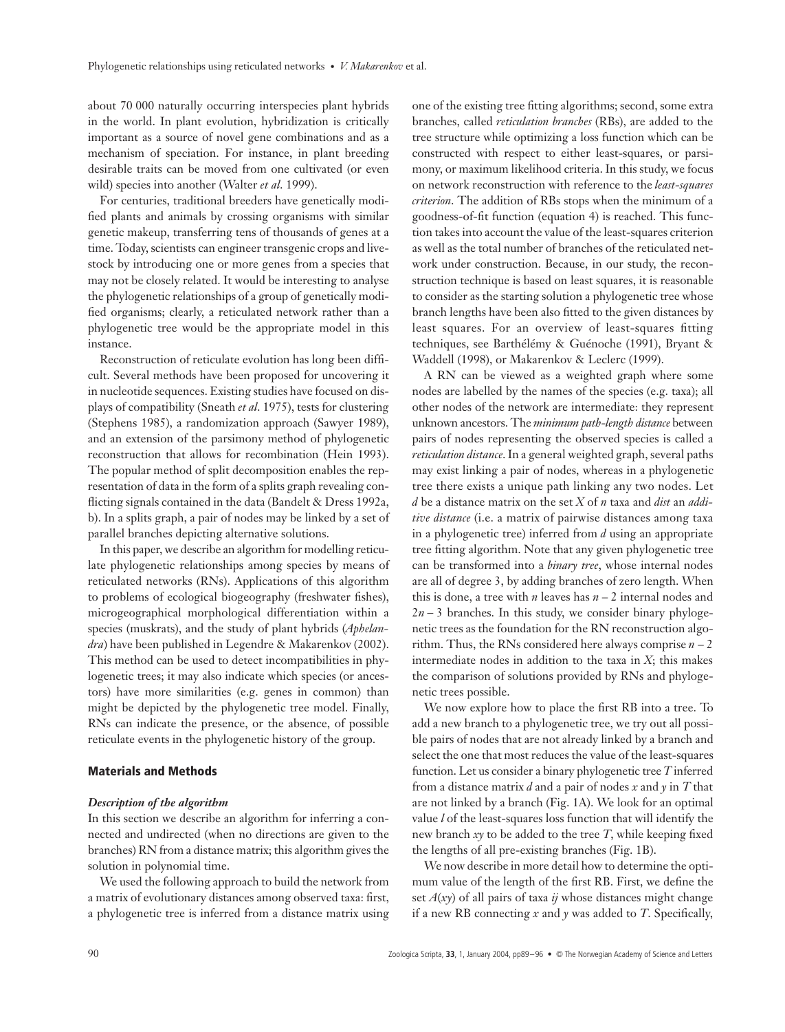about 70 000 naturally occurring interspecies plant hybrids in the world. In plant evolution, hybridization is critically important as a source of novel gene combinations and as a mechanism of speciation. For instance, in plant breeding desirable traits can be moved from one cultivated (or even wild) species into another (Walter *et al*. 1999).

For centuries, traditional breeders have genetically modified plants and animals by crossing organisms with similar genetic makeup, transferring tens of thousands of genes at a time. Today, scientists can engineer transgenic crops and livestock by introducing one or more genes from a species that may not be closely related. It would be interesting to analyse the phylogenetic relationships of a group of genetically modified organisms; clearly, a reticulated network rather than a phylogenetic tree would be the appropriate model in this instance.

Reconstruction of reticulate evolution has long been difficult. Several methods have been proposed for uncovering it in nucleotide sequences. Existing studies have focused on displays of compatibility (Sneath *et al*. 1975), tests for clustering (Stephens 1985), a randomization approach (Sawyer 1989), and an extension of the parsimony method of phylogenetic reconstruction that allows for recombination (Hein 1993). The popular method of split decomposition enables the representation of data in the form of a splits graph revealing conflicting signals contained in the data (Bandelt & Dress 1992a, b). In a splits graph, a pair of nodes may be linked by a set of parallel branches depicting alternative solutions.

In this paper, we describe an algorithm for modelling reticulate phylogenetic relationships among species by means of reticulated networks (RNs). Applications of this algorithm to problems of ecological biogeography (freshwater fishes), microgeographical morphological differentiation within a species (muskrats), and the study of plant hybrids (*Aphelandra*) have been published in Legendre & Makarenkov (2002). This method can be used to detect incompatibilities in phylogenetic trees; it may also indicate which species (or ancestors) have more similarities (e.g. genes in common) than might be depicted by the phylogenetic tree model. Finally, RNs can indicate the presence, or the absence, of possible reticulate events in the phylogenetic history of the group.

## **Materials and Methods**

## *Description of the algorithm*

In this section we describe an algorithm for inferring a connected and undirected (when no directions are given to the branches) RN from a distance matrix; this algorithm gives the solution in polynomial time.

We used the following approach to build the network from a matrix of evolutionary distances among observed taxa: first, a phylogenetic tree is inferred from a distance matrix using one of the existing tree fitting algorithms; second, some extra branches, called *reticulation branches* (RBs), are added to the tree structure while optimizing a loss function which can be constructed with respect to either least-squares, or parsimony, or maximum likelihood criteria. In this study, we focus on network reconstruction with reference to the *least-squares criterion*. The addition of RBs stops when the minimum of a goodness-of-fit function (equation 4) is reached. This function takes into account the value of the least-squares criterion as well as the total number of branches of the reticulated network under construction. Because, in our study, the reconstruction technique is based on least squares, it is reasonable to consider as the starting solution a phylogenetic tree whose branch lengths have been also fitted to the given distances by least squares. For an overview of least-squares fitting techniques, see Barthélémy & Guénoche (1991), Bryant & Waddell (1998), or Makarenkov & Leclerc (1999).

A RN can be viewed as a weighted graph where some nodes are labelled by the names of the species (e.g. taxa); all other nodes of the network are intermediate: they represent unknown ancestors. The *minimum path-length distance* between pairs of nodes representing the observed species is called a *reticulation distance*. In a general weighted graph, several paths may exist linking a pair of nodes, whereas in a phylogenetic tree there exists a unique path linking any two nodes. Let *d* be a distance matrix on the set *X* of *n* taxa and *dist* an *additive distance* (i.e. a matrix of pairwise distances among taxa in a phylogenetic tree) inferred from *d* using an appropriate tree fitting algorithm. Note that any given phylogenetic tree can be transformed into a *binary tree*, whose internal nodes are all of degree 3, by adding branches of zero length. When this is done, a tree with *n* leaves has *n –* 2 internal nodes and 2*n* − 3 branches. In this study, we consider binary phylogenetic trees as the foundation for the RN reconstruction algorithm. Thus, the RNs considered here always comprise *n –* 2 intermediate nodes in addition to the taxa in *X*; this makes the comparison of solutions provided by RNs and phylogenetic trees possible.

We now explore how to place the first RB into a tree. To add a new branch to a phylogenetic tree, we try out all possible pairs of nodes that are not already linked by a branch and select the one that most reduces the value of the least-squares function. Let us consider a binary phylogenetic tree *T* inferred from a distance matrix *d* and a pair of nodes *x* and *y* in *T* that are not linked by a branch (Fig. 1A). We look for an optimal value *l* of the least-squares loss function that will identify the new branch *xy* to be added to the tree *T*, while keeping fixed the lengths of all pre-existing branches (Fig. 1B).

We now describe in more detail how to determine the optimum value of the length of the first RB. First, we define the set *A*(*xy*) of all pairs of taxa *ij* whose distances might change if a new RB connecting *x* and *y* was added to *T*. Specifically,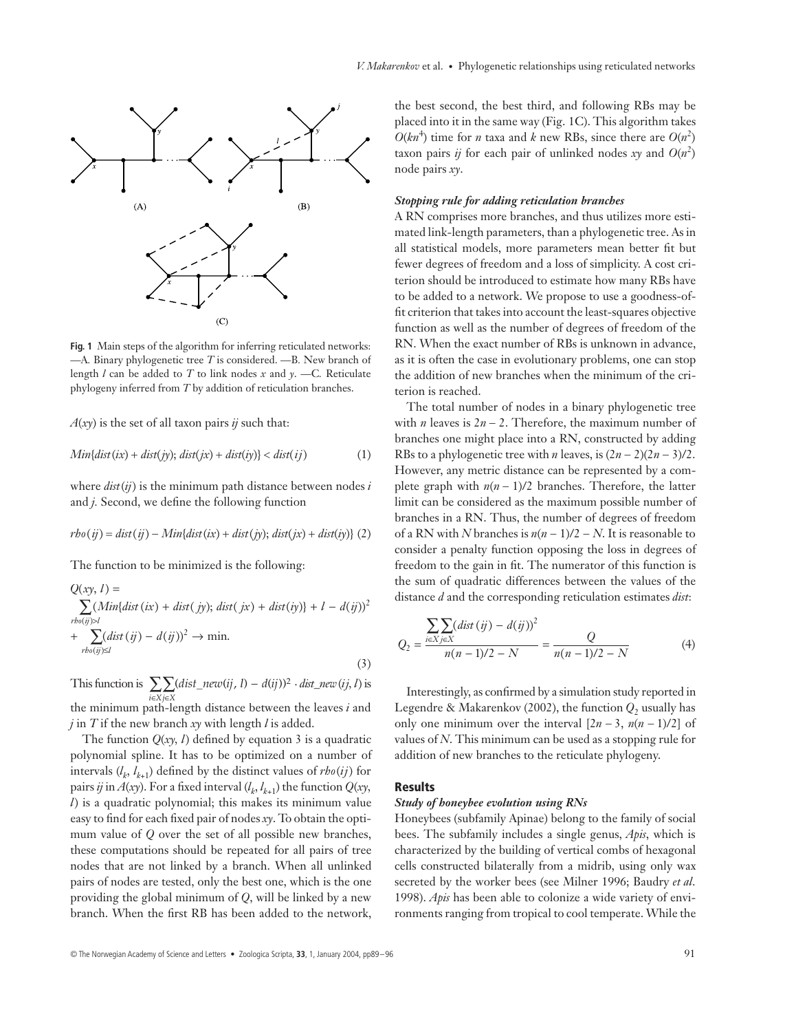

**Fig. 1** Main steps of the algorithm for inferring reticulated networks: —A*.* Binary phylogenetic tree *T* is considered. —B*.* New branch of length *l* can be added to *T* to link nodes *x* and *y*. —C*.* Reticulate phylogeny inferred from *T* by addition of reticulation branches.

 $A(xy)$  is the set of all taxon pairs *ij* such that:

$$
Min\{dist(ix) + dist(jy); dist(jx) + dist(iy)\} < dist(ij) \tag{1}
$$

where  $dist(ij)$  is the minimum path distance between nodes  $i$ and *j.* Second, we define the following function

$$
rho(ij) = dist(ij) - Min\{dist(ix) + dist(jy); dist(jx) + dist(iy)\} (2)
$$

The function to be minimized is the following:

$$
Q(xy, l) = \sum_{\substack{rbo(i) > l}} (Min\{dist(ix) + dist(jy)\}; dist(jx) + dist(iy)\} + l - d(ij))^2 + \sum_{\substack{rbo(ij) > l}} (dist(ij) - d(ij))^2 \to \min. \tag{3}
$$

This function is  $\sum \int (dist\_new(ij, l) - d(ij))^2 \cdot dist\_new(ij, l)$  is the minimum path-length distance between the leaves *i* and *j* in *T* if the new branch *xy* with length *l* is added. *i Xj X* −  $\sum_{i \in X} \sum_{j \in X} (dist\_new(ij, l) - d(ij))^2$ 

The function *Q*(*xy, l*) defined by equation 3 is a quadratic polynomial spline. It has to be optimized on a number of intervals  $(l_k, l_{k+1})$  defined by the distinct values of  $rho(ij)$  for pairs *ij* in  $A(xy)$ . For a fixed interval  $(l_k, l_{k+1})$  the function  $Q(xy)$ , *l*) is a quadratic polynomial; this makes its minimum value easy to find for each fixed pair of nodes *xy*. To obtain the optimum value of *Q* over the set of all possible new branches, these computations should be repeated for all pairs of tree nodes that are not linked by a branch. When all unlinked pairs of nodes are tested, only the best one, which is the one providing the global minimum of *Q*, will be linked by a new branch. When the first RB has been added to the network,

the best second, the best third, and following RBs may be placed into it in the same way (Fig. 1C). This algorithm takes  $O(kn^4)$  time for *n* taxa and *k* new RBs, since there are  $O(n^2)$ taxon pairs *ij* for each pair of unlinked nodes *xy* and *O*(*n*<sup>2</sup> ) node pairs *xy*.

#### *Stopping rule for adding reticulation branches*

A RN comprises more branches, and thus utilizes more estimated link-length parameters, than a phylogenetic tree. As in all statistical models, more parameters mean better fit but fewer degrees of freedom and a loss of simplicity. A cost criterion should be introduced to estimate how many RBs have to be added to a network. We propose to use a goodness-offit criterion that takes into account the least-squares objective function as well as the number of degrees of freedom of the RN. When the exact number of RBs is unknown in advance, as it is often the case in evolutionary problems, one can stop the addition of new branches when the minimum of the criterion is reached.

The total number of nodes in a binary phylogenetic tree with *n* leaves is 2*n* − 2. Therefore, the maximum number of branches one might place into a RN, constructed by adding RBs to a phylogenetic tree with *n* leaves, is  $(2n-2)(2n-3)/2$ . However, any metric distance can be represented by a complete graph with *n*(*n* − 1)/2 branches. Therefore, the latter limit can be considered as the maximum possible number of branches in a RN. Thus, the number of degrees of freedom of a RN with *N* branches is  $n(n-1)/2 - N$ . It is reasonable to consider a penalty function opposing the loss in degrees of freedom to the gain in fit. The numerator of this function is the sum of quadratic differences between the values of the distance *d* and the corresponding reticulation estimates *dist*:

$$
Q_2 = \frac{\sum_{i \in X} \sum_{j \in X} (dist(ij) - d(ij))^2}{n(n-1)/2 - N} = \frac{Q}{n(n-1)/2 - N}
$$
(4)

Interestingly, as confirmed by a simulation study reported in Legendre & Makarenkov (2002), the function  $Q_2$  usually has only one minimum over the interval  $[2n-3, n(n-1)/2]$  of values of *N*. This minimum can be used as a stopping rule for addition of new branches to the reticulate phylogeny.

#### **Results**

### *Study of honeybee evolution using RNs*

Honeybees (subfamily Apinae) belong to the family of social bees. The subfamily includes a single genus, *Apis*, which is characterized by the building of vertical combs of hexagonal cells constructed bilaterally from a midrib, using only wax secreted by the worker bees (see Milner 1996; Baudry *et al*. 1998). *Apis* has been able to colonize a wide variety of environments ranging from tropical to cool temperate. While the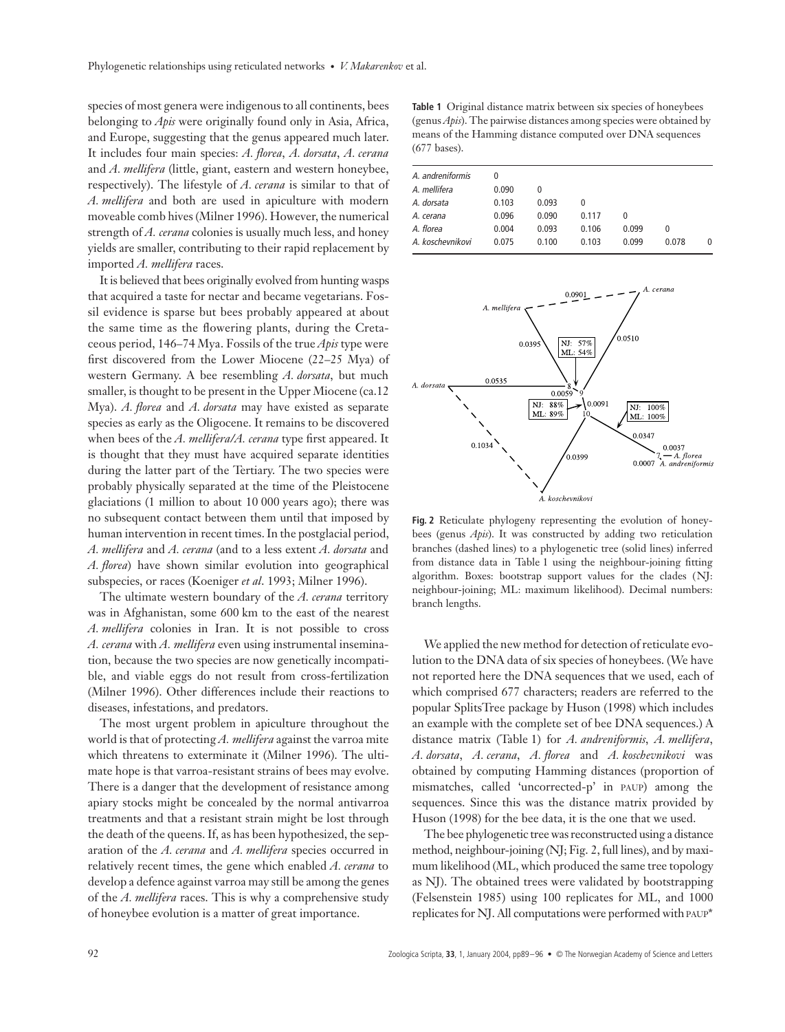species of most genera were indigenous to all continents, bees belonging to *Apis* were originally found only in Asia, Africa, and Europe, suggesting that the genus appeared much later. It includes four main species: *A. florea*, *A. dorsata*, *A. cerana* and *A. mellifera* (little, giant, eastern and western honeybee, respectively). The lifestyle of *A. cerana* is similar to that of *A. mellifera* and both are used in apiculture with modern moveable comb hives (Milner 1996). However, the numerical strength of *A. cerana* colonies is usually much less, and honey yields are smaller, contributing to their rapid replacement by imported *A. mellifera* races.

It is believed that bees originally evolved from hunting wasps that acquired a taste for nectar and became vegetarians. Fossil evidence is sparse but bees probably appeared at about the same time as the flowering plants, during the Cretaceous period, 146–74 Mya. Fossils of the true *Apis* type were first discovered from the Lower Miocene (22–25 Mya) of western Germany. A bee resembling *A. dorsata*, but much smaller, is thought to be present in the Upper Miocene (ca.12) Mya). *A. florea* and *A. dorsata* may have existed as separate species as early as the Oligocene. It remains to be discovered when bees of the *A. mellifera/A. cerana* type first appeared. It is thought that they must have acquired separate identities during the latter part of the Tertiary. The two species were probably physically separated at the time of the Pleistocene glaciations (1 million to about 10 000 years ago); there was no subsequent contact between them until that imposed by human intervention in recent times. In the postglacial period, *A. mellifera* and *A. cerana* (and to a less extent *A. dorsata* and *A. florea*) have shown similar evolution into geographical subspecies, or races (Koeniger *et al*. 1993; Milner 1996).

The ultimate western boundary of the *A. cerana* territory was in Afghanistan, some 600 km to the east of the nearest *A. mellifera* colonies in Iran. It is not possible to cross *A. cerana* with *A. mellifera* even using instrumental insemination, because the two species are now genetically incompatible, and viable eggs do not result from cross-fertilization (Milner 1996). Other differences include their reactions to diseases, infestations, and predators.

The most urgent problem in apiculture throughout the world is that of protecting *A. mellifera* against the varroa mite which threatens to exterminate it (Milner 1996). The ultimate hope is that varroa-resistant strains of bees may evolve. There is a danger that the development of resistance among apiary stocks might be concealed by the normal antivarroa treatments and that a resistant strain might be lost through the death of the queens. If, as has been hypothesized, the separation of the *A. cerana* and *A. mellifera* species occurred in relatively recent times, the gene which enabled *A. cerana* to develop a defence against varroa may still be among the genes of the *A. mellifera* races. This is why a comprehensive study of honeybee evolution is a matter of great importance.

**Table 1** Original distance matrix between six species of honeybees (genus *Apis*). The pairwise distances among species were obtained by means of the Hamming distance computed over DNA sequences (677 bases).

| A andreniformis  | 0     |       |       |          |       |   |
|------------------|-------|-------|-------|----------|-------|---|
| A mellifera      | 0.090 | 0     |       |          |       |   |
| A. dorsata       | 0.103 | 0.093 | 0     |          |       |   |
| A. cerana        | 0.096 | 0.090 | 0.117 | $\Omega$ |       |   |
| A. florea        | 0.004 | 0.093 | 0.106 | 0.099    | 0     |   |
| A. koschevnikovi | 0.075 | 0.100 | 0.103 | 0.099    | 0.078 | 0 |



**Fig. 2** Reticulate phylogeny representing the evolution of honeybees (genus *Apis*). It was constructed by adding two reticulation branches (dashed lines) to a phylogenetic tree (solid lines) inferred from distance data in Table 1 using the neighbour-joining fitting algorithm. Boxes: bootstrap support values for the clades (NJ: neighbour-joining; ML: maximum likelihood). Decimal numbers: branch lengths.

We applied the new method for detection of reticulate evolution to the DNA data of six species of honeybees. (We have not reported here the DNA sequences that we used, each of which comprised 677 characters; readers are referred to the popular SplitsTree package by Huson (1998) which includes an example with the complete set of bee DNA sequences.) A distance matrix (Table 1) for *A. andreniformis*, *A. mellifera*, *A. dorsata*, *A. cerana*, *A. florea* and *A. koschevnikovi* was obtained by computing Hamming distances (proportion of mismatches, called 'uncorrected-p' in PAUP) among the sequences. Since this was the distance matrix provided by Huson (1998) for the bee data, it is the one that we used.

The bee phylogenetic tree was reconstructed using a distance method, neighbour-joining (NJ; Fig. 2, full lines), and by maximum likelihood (ML, which produced the same tree topology as NJ). The obtained trees were validated by bootstrapping (Felsenstein 1985) using 100 replicates for ML, and 1000 replicates for NJ. All computations were performed with PAUP\*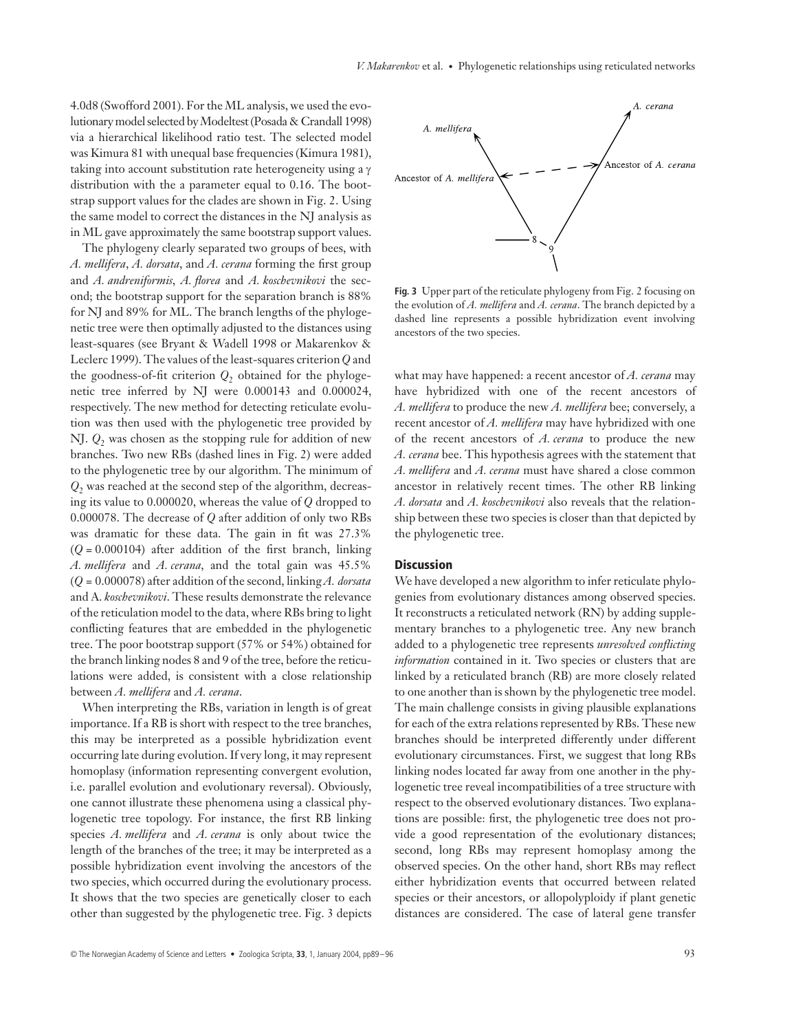4.0d8 (Swofford 2001). For the ML analysis, we used the evolutionary model selected by Modeltest (Posada & Crandall 1998) via a hierarchical likelihood ratio test. The selected model was Kimura 81 with unequal base frequencies (Kimura 1981), taking into account substitution rate heterogeneity using a γ distribution with the a parameter equal to 0.16. The bootstrap support values for the clades are shown in Fig. 2. Using the same model to correct the distances in the NJ analysis as in ML gave approximately the same bootstrap support values.

The phylogeny clearly separated two groups of bees, with *A. mellifera*, *A. dorsata*, and *A. cerana* forming the first group and *A. andreniformis*, *A. florea* and *A. koschevnikovi* the second; the bootstrap support for the separation branch is 88% for NJ and 89% for ML. The branch lengths of the phylogenetic tree were then optimally adjusted to the distances using least-squares (see Bryant & Wadell 1998 or Makarenkov & Leclerc 1999). The values of the least-squares criterion *Q* and the goodness-of-fit criterion  $Q_2$  obtained for the phylogenetic tree inferred by NJ were 0.000143 and 0.000024, respectively. The new method for detecting reticulate evolution was then used with the phylogenetic tree provided by NJ. *Q*<sup>2</sup> was chosen as the stopping rule for addition of new branches. Two new RBs (dashed lines in Fig. 2) were added to the phylogenetic tree by our algorithm. The minimum of *Q*2 was reached at the second step of the algorithm, decreasing its value to 0.000020, whereas the value of *Q* dropped to 0.000078. The decrease of *Q* after addition of only two RBs was dramatic for these data. The gain in fit was 27.3% (*Q* = 0.000104) after addition of the first branch, linking *A. mellifera* and *A. cerana*, and the total gain was 45.5% (*Q* = 0.000078) after addition of the second, linking *A. dorsata* and A. *koschevnikovi*. These results demonstrate the relevance of the reticulation model to the data, where RBs bring to light conflicting features that are embedded in the phylogenetic tree. The poor bootstrap support (57% or 54%) obtained for the branch linking nodes 8 and 9 of the tree, before the reticulations were added, is consistent with a close relationship between *A. mellifera* and *A. cerana*.

When interpreting the RBs, variation in length is of great importance. If a RB is short with respect to the tree branches, this may be interpreted as a possible hybridization event occurring late during evolution. If very long, it may represent homoplasy (information representing convergent evolution, i.e. parallel evolution and evolutionary reversal). Obviously, one cannot illustrate these phenomena using a classical phylogenetic tree topology. For instance, the first RB linking species *A. mellifera* and *A. cerana* is only about twice the length of the branches of the tree; it may be interpreted as a possible hybridization event involving the ancestors of the two species, which occurred during the evolutionary process. It shows that the two species are genetically closer to each other than suggested by the phylogenetic tree. Fig. 3 depicts



**Fig. 3** Upper part of the reticulate phylogeny from Fig. 2 focusing on the evolution of *A. mellifera* and *A. cerana*. The branch depicted by a dashed line represents a possible hybridization event involving ancestors of the two species.

what may have happened: a recent ancestor of *A. cerana* may have hybridized with one of the recent ancestors of *A. mellifera* to produce the new *A. mellifera* bee; conversely, a recent ancestor of *A. mellifera* may have hybridized with one of the recent ancestors of *A. cerana* to produce the new *A. cerana* bee. This hypothesis agrees with the statement that *A. mellifera* and *A. cerana* must have shared a close common ancestor in relatively recent times. The other RB linking *A. dorsata* and *A. koschevnikovi* also reveals that the relationship between these two species is closer than that depicted by the phylogenetic tree.

### **Discussion**

We have developed a new algorithm to infer reticulate phylogenies from evolutionary distances among observed species. It reconstructs a reticulated network (RN) by adding supplementary branches to a phylogenetic tree. Any new branch added to a phylogenetic tree represents *unresolved conflicting information* contained in it. Two species or clusters that are linked by a reticulated branch (RB) are more closely related to one another than is shown by the phylogenetic tree model. The main challenge consists in giving plausible explanations for each of the extra relations represented by RBs. These new branches should be interpreted differently under different evolutionary circumstances. First, we suggest that long RBs linking nodes located far away from one another in the phylogenetic tree reveal incompatibilities of a tree structure with respect to the observed evolutionary distances. Two explanations are possible: first, the phylogenetic tree does not provide a good representation of the evolutionary distances; second, long RBs may represent homoplasy among the observed species. On the other hand, short RBs may reflect either hybridization events that occurred between related species or their ancestors, or allopolyploidy if plant genetic distances are considered. The case of lateral gene transfer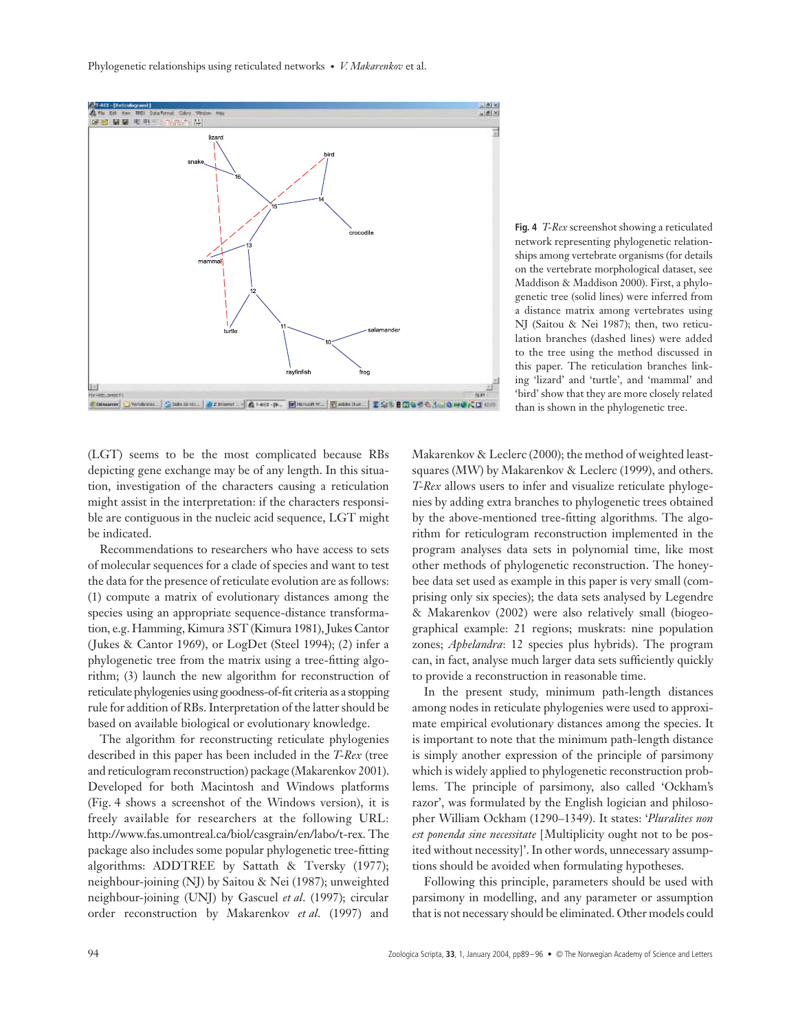Phylogenetic relationships using reticulated networks • *V. Makarenkov* et al.



**Fig. 4** *T-Rex* screenshot showing a reticulated network representing phylogenetic relationships among vertebrate organisms (for details on the vertebrate morphological dataset, see Maddison & Maddison 2000). First, a phylogenetic tree (solid lines) were inferred from a distance matrix among vertebrates using NJ (Saitou & Nei 1987); then, two reticulation branches (dashed lines) were added to the tree using the method discussed in this paper. The reticulation branches linking 'lizard' and 'turtle', and 'mammal' and 'bird' show that they are more closely related than is shown in the phylogenetic tree.

(LGT) seems to be the most complicated because RBs depicting gene exchange may be of any length. In this situation, investigation of the characters causing a reticulation might assist in the interpretation: if the characters responsible are contiguous in the nucleic acid sequence, LGT might be indicated.

Recommendations to researchers who have access to sets of molecular sequences for a clade of species and want to test the data for the presence of reticulate evolution are as follows: (1) compute a matrix of evolutionary distances among the species using an appropriate sequence-distance transformation, e.g. Hamming, Kimura 3ST (Kimura 1981), Jukes Cantor (Jukes & Cantor 1969), or LogDet (Steel 1994); (2) infer a phylogenetic tree from the matrix using a tree-fitting algorithm; (3) launch the new algorithm for reconstruction of reticulate phylogenies using goodness-of-fit criteria as a stopping rule for addition of RBs. Interpretation of the latter should be based on available biological or evolutionary knowledge.

The algorithm for reconstructing reticulate phylogenies described in this paper has been included in the *T-Rex* (tree and reticulogram reconstruction) package (Makarenkov 2001). Developed for both Macintosh and Windows platforms (Fig. 4 shows a screenshot of the Windows version), it is freely available for researchers at the following URL: http://www.fas.umontreal.ca/biol/casgrain/en/labo/t-rex. The package also includes some popular phylogenetic tree-fitting algorithms: ADDTREE by Sattath & Tversky (1977); neighbour-joining (NJ) by Saitou & Nei (1987); unweighted neighbour-joining (UNJ) by Gascuel *et al*. (1997); circular order reconstruction by Makarenkov *et al*. (1997) and

Makarenkov & Leclerc (2000); the method of weighted leastsquares (MW) by Makarenkov & Leclerc (1999), and others. *T-Rex* allows users to infer and visualize reticulate phylogenies by adding extra branches to phylogenetic trees obtained by the above-mentioned tree-fitting algorithms. The algorithm for reticulogram reconstruction implemented in the program analyses data sets in polynomial time, like most other methods of phylogenetic reconstruction. The honeybee data set used as example in this paper is very small (comprising only six species); the data sets analysed by Legendre & Makarenkov (2002) were also relatively small (biogeographical example: 21 regions; muskrats: nine population zones; *Aphelandra*: 12 species plus hybrids). The program can, in fact, analyse much larger data sets sufficiently quickly to provide a reconstruction in reasonable time.

In the present study, minimum path-length distances among nodes in reticulate phylogenies were used to approximate empirical evolutionary distances among the species. It is important to note that the minimum path-length distance is simply another expression of the principle of parsimony which is widely applied to phylogenetic reconstruction problems. The principle of parsimony, also called 'Ockham's razor', was formulated by the English logician and philosopher William Ockham (1290–1349). It states: '*Pluralites non est ponenda sine necessitate* [Multiplicity ought not to be posited without necessity]'. In other words, unnecessary assumptions should be avoided when formulating hypotheses.

Following this principle, parameters should be used with parsimony in modelling, and any parameter or assumption that is not necessary should be eliminated. Other models could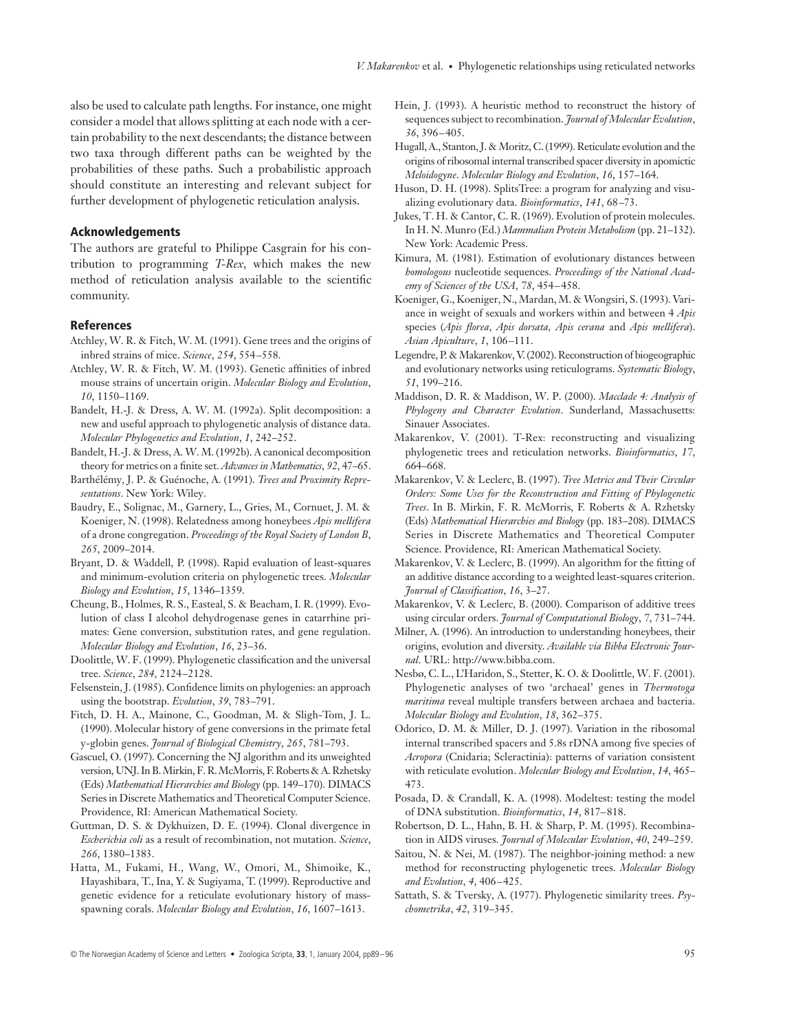also be used to calculate path lengths. For instance, one might consider a model that allows splitting at each node with a certain probability to the next descendants; the distance between two taxa through different paths can be weighted by the probabilities of these paths. Such a probabilistic approach should constitute an interesting and relevant subject for further development of phylogenetic reticulation analysis.

### **Acknowledgements**

The authors are grateful to Philippe Casgrain for his contribution to programming *T-Rex*, which makes the new method of reticulation analysis available to the scientific community.

#### **References**

- Atchley, W. R. & Fitch, W. M. (1991). Gene trees and the origins of inbred strains of mice. *Science*, *254*, 554–558.
- Atchley, W. R. & Fitch, W. M. (1993). Genetic affinities of inbred mouse strains of uncertain origin. *Molecular Biology and Evolution*, *10*, 1150–1169.
- Bandelt, H.-J. & Dress, A. W. M. (1992a). Split decomposition: a new and useful approach to phylogenetic analysis of distance data. *Molecular Phylogenetics and Evolution*, *1*, 242–252.
- Bandelt, H.-J. & Dress, A. W. M. (1992b). A canonical decomposition theory for metrics on a finite set. *Advances in Mathematics*, *92*, 47–65.
- Barthélémy, J. P. & Guénoche, A. (1991). *Trees and Proximity Representations*. New York: Wiley.
- Baudry, E., Solignac, M., Garnery, L., Gries, M., Cornuet, J. M. & Koeniger, N. (1998). Relatedness among honeybees *Apis mellifera* of a drone congregation. *Proceedings of the Royal Society of London B*, *265*, 2009–2014.
- Bryant, D. & Waddell, P. (1998). Rapid evaluation of least-squares and minimum-evolution criteria on phylogenetic trees. *Molecular Biology and Evolution*, *15*, 1346–1359.
- Cheung, B., Holmes, R. S., Easteal, S. & Beacham, I. R. (1999). Evolution of class I alcohol dehydrogenase genes in catarrhine primates: Gene conversion, substitution rates, and gene regulation. *Molecular Biology and Evolution*, *16*, 23–36.
- Doolittle, W. F. (1999). Phylogenetic classification and the universal tree. *Science*, *284*, 2124–2128.
- Felsenstein, J. (1985). Confidence limits on phylogenies: an approach using the bootstrap. *Evolution*, *39*, 783–791.
- Fitch, D. H. A., Mainone, C., Goodman, M. & Sligh-Tom, J. L. (1990). Molecular history of gene conversions in the primate fetal y-globin genes. *Journal of Biological Chemistry*, *265*, 781–793.
- Gascuel, O. (1997). Concerning the NJ algorithm and its unweighted version, UNJ. In B. Mirkin, F. R. McMorris, F. Roberts & A. Rzhetsky (Eds) *Mathematical Hierarchies and Biology* (pp. 149–170). DIMACS Series in Discrete Mathematics and Theoretical Computer Science. Providence, RI: American Mathematical Society.
- Guttman, D. S. & Dykhuizen, D. E. (1994). Clonal divergence in *Escherichia coli* as a result of recombination, not mutation. *Science*, *266*, 1380–1383.
- Hatta, M., Fukami, H., Wang, W., Omori, M., Shimoike, K., Hayashibara, T., Ina, Y. & Sugiyama, T. (1999). Reproductive and genetic evidence for a reticulate evolutionary history of massspawning corals. *Molecular Biology and Evolution*, *16*, 1607–1613.
- Hein, J. (1993). A heuristic method to reconstruct the history of sequences subject to recombination. *Journal of Molecular Evolution*, *36*, 396–405.
- Hugall, A., Stanton, J. & Moritz, C. (1999). Reticulate evolution and the origins of ribosomal internal transcribed spacer diversity in apomictic *Meloidogyne*. *Molecular Biology and Evolution*, *16*, 157–164.
- Huson, D. H. (1998). SplitsTree: a program for analyzing and visualizing evolutionary data. *Bioinformatics*, *141*, 68–73.
- Jukes, T. H. & Cantor, C. R. (1969). Evolution of protein molecules. In H. N. Munro (Ed.) *Mammalian Protein Metabolism* (pp. 21–132). New York: Academic Press.
- Kimura, M. (1981). Estimation of evolutionary distances between *homologous* nucleotide sequences. *Proceedings of the National Academy of Sciences of the USA*, *78*, 454–458.
- Koeniger, G., Koeniger, N., Mardan, M. & Wongsiri, S. (1993). Variance in weight of sexuals and workers within and between 4 *Apis* species (*Apis florea*, *Apis dorsata, Apis cerana* and *Apis mellifera*). *Asian Apiculture*, *1*, 106–111.
- Legendre, P. & Makarenkov, V. (2002). Reconstruction of biogeographic and evolutionary networks using reticulograms. *Systematic Biology*, *51*, 199–216.
- Maddison, D. R. & Maddison, W. P. (2000). *Macclade 4: Analysis of Phylogeny and Character Evolution*. Sunderland, Massachusetts: Sinauer Associates.
- Makarenkov, V. (2001). T-Rex: reconstructing and visualizing phylogenetic trees and reticulation networks. *Bioinformatics*, *17*, 664–668.
- Makarenkov, V. & Leclerc, B. (1997). *Tree Metrics and Their Circular Orders: Some Uses for the Reconstruction and Fitting of Phylogenetic Trees*. In B. Mirkin, F. R. McMorris, F. Roberts & A. Rzhetsky (Eds) *Mathematical Hierarchies and Biology* (pp. 183–208). DIMACS Series in Discrete Mathematics and Theoretical Computer Science. Providence, RI: American Mathematical Society.
- Makarenkov, V. & Leclerc, B. (1999). An algorithm for the fitting of an additive distance according to a weighted least-squares criterion. *Journal of Classification*, *16*, 3–27.
- Makarenkov, V. & Leclerc, B. (2000). Comparison of additive trees using circular orders. *Journal of Computational Biology*, *7*, 731–744.
- Milner, A. (1996). An introduction to understanding honeybees, their origins, evolution and diversity. *Available via Bibba Electronic Journal*. URL: http://www.bibba.com.
- Nesbø, C. L., L'Haridon, S., Stetter, K. O. & Doolittle, W. F. (2001). Phylogenetic analyses of two 'archaeal' genes in *Thermotoga maritima* reveal multiple transfers between archaea and bacteria. *Molecular Biology and Evolution*, *18*, 362–375.
- Odorico, D. M. & Miller, D. J. (1997). Variation in the ribosomal internal transcribed spacers and 5.8s rDNA among five species of *Acropora* (Cnidaria; Scleractinia): patterns of variation consistent with reticulate evolution. *Molecular Biology and Evolution*, *14*, 465– 473.
- Posada, D. & Crandall, K. A. (1998). Modeltest: testing the model of DNA substitution. *Bioinformatics*, *14*, 817–818.
- Robertson, D. L., Hahn, B. H. & Sharp, P. M. (1995). Recombination in AIDS viruses. *Journal of Molecular Evolution*, *40*, 249–259.
- Saitou, N. & Nei, M. (1987). The neighbor-joining method: a new method for reconstructing phylogenetic trees. *Molecular Biology and Evolution*, *4*, 406–425.
- Sattath, S. & Tversky, A. (1977). Phylogenetic similarity trees. *Psychometrika*, *42*, 319–345.